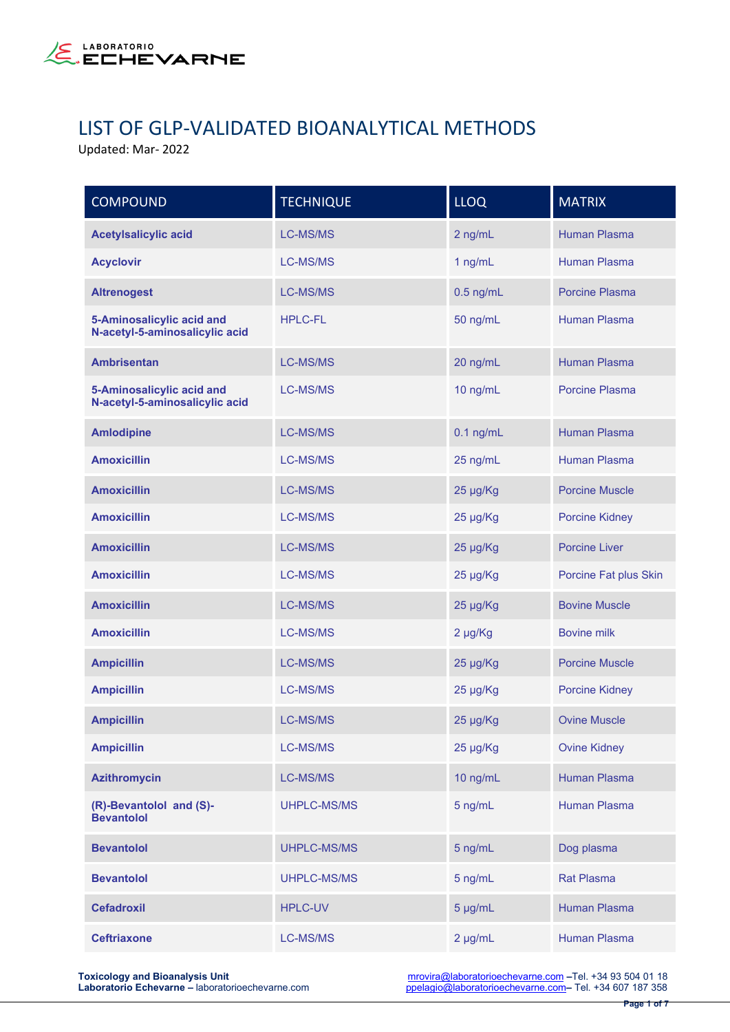

## LIST OF GLP-VALIDATED BIOANALYTICAL METHODS

Updated: Mar- 2022

| <b>COMPOUND</b>                                             | <b>TECHNIQUE</b>   | <b>LLOQ</b>  | <b>MATRIX</b>         |
|-------------------------------------------------------------|--------------------|--------------|-----------------------|
| <b>Acetylsalicylic acid</b>                                 | <b>LC-MS/MS</b>    | 2 ng/mL      | <b>Human Plasma</b>   |
| <b>Acyclovir</b>                                            | <b>LC-MS/MS</b>    | 1 ng/mL      | <b>Human Plasma</b>   |
| <b>Altrenogest</b>                                          | <b>LC-MS/MS</b>    | $0.5$ ng/mL  | Porcine Plasma        |
| 5-Aminosalicylic acid and<br>N-acetyl-5-aminosalicylic acid | <b>HPLC-FL</b>     | 50 ng/mL     | <b>Human Plasma</b>   |
| <b>Ambrisentan</b>                                          | <b>LC-MS/MS</b>    | 20 ng/mL     | <b>Human Plasma</b>   |
| 5-Aminosalicylic acid and<br>N-acetyl-5-aminosalicylic acid | <b>LC-MS/MS</b>    | 10 ng/mL     | <b>Porcine Plasma</b> |
| <b>Amlodipine</b>                                           | <b>LC-MS/MS</b>    | $0.1$ ng/mL  | <b>Human Plasma</b>   |
| <b>Amoxicillin</b>                                          | <b>LC-MS/MS</b>    | 25 ng/mL     | <b>Human Plasma</b>   |
| <b>Amoxicillin</b>                                          | <b>LC-MS/MS</b>    | 25 µg/Kg     | <b>Porcine Muscle</b> |
| <b>Amoxicillin</b>                                          | <b>LC-MS/MS</b>    | 25 µg/Kg     | <b>Porcine Kidney</b> |
| <b>Amoxicillin</b>                                          | <b>LC-MS/MS</b>    | 25 µg/Kg     | <b>Porcine Liver</b>  |
| <b>Amoxicillin</b>                                          | LC-MS/MS           | 25 µg/Kg     | Porcine Fat plus Skin |
| <b>Amoxicillin</b>                                          | <b>LC-MS/MS</b>    | 25 µg/Kg     | <b>Bovine Muscle</b>  |
| <b>Amoxicillin</b>                                          | <b>LC-MS/MS</b>    | 2 µg/Kg      | <b>Bovine milk</b>    |
| <b>Ampicillin</b>                                           | <b>LC-MS/MS</b>    | 25 µg/Kg     | <b>Porcine Muscle</b> |
| <b>Ampicillin</b>                                           | LC-MS/MS           | 25 µg/Kg     | <b>Porcine Kidney</b> |
| <b>Ampicillin</b>                                           | <b>LC-MS/MS</b>    | 25 µg/Kg     | <b>Ovine Muscle</b>   |
| <b>Ampicillin</b>                                           | LC-MS/MS           | 25 µg/Kg     | <b>Ovine Kidney</b>   |
| <b>Azithromycin</b>                                         | LC-MS/MS           | 10 ng/mL     | Human Plasma          |
| (R)-Bevantolol and (S)-<br><b>Bevantolol</b>                | UHPLC-MS/MS        | 5 ng/mL      | <b>Human Plasma</b>   |
| <b>Bevantolol</b>                                           | UHPLC-MS/MS        | 5 ng/mL      | Dog plasma            |
| <b>Bevantolol</b>                                           | <b>UHPLC-MS/MS</b> | 5 ng/mL      | <b>Rat Plasma</b>     |
| <b>Cefadroxil</b>                                           | <b>HPLC-UV</b>     | 5 µg/mL      | Human Plasma          |
| <b>Ceftriaxone</b>                                          | LC-MS/MS           | $2 \mu g/mL$ | Human Plasma          |

**Toxicology and Bioanalysis Unit**<br> **Laboratorio Echevarne –** laboratorioechevarne.com **and provira** ppelagio@laboratorioechevarne.com – Tel. +34 607 187 358 [ppelagio@laboratorioechevarne.com](mailto:ppelagio@laboratorioechevarne.com) - Tel. +34 607 187 358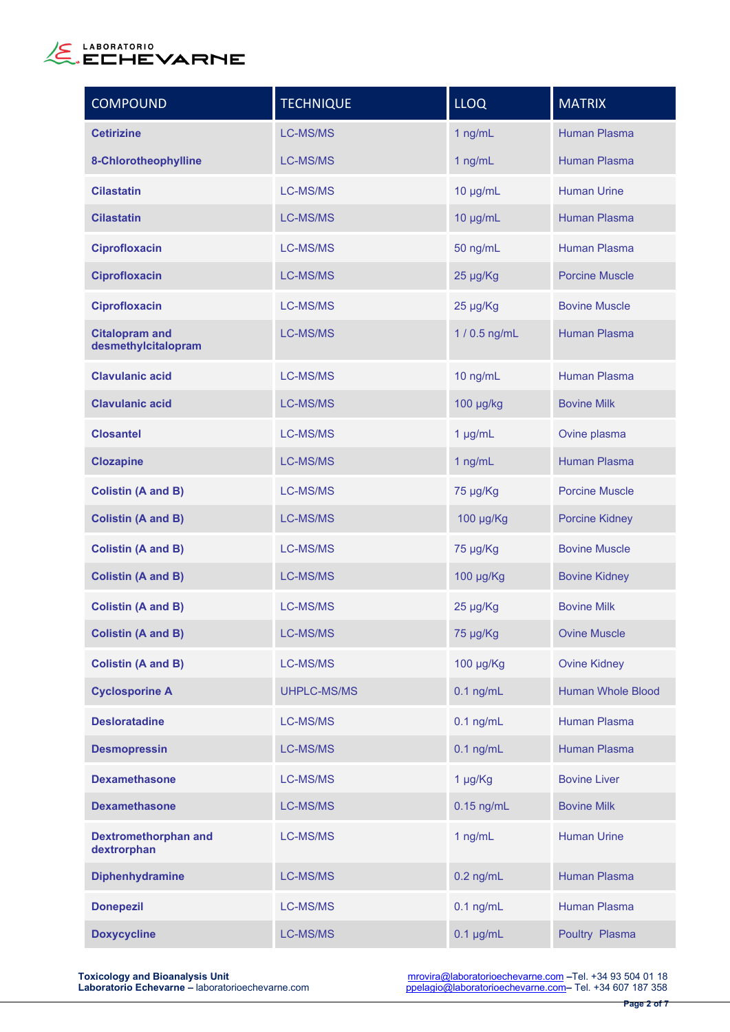

| <b>COMPOUND</b>                              | <b>TECHNIQUE</b> | <b>LLOQ</b>    | <b>MATRIX</b>            |
|----------------------------------------------|------------------|----------------|--------------------------|
| <b>Cetirizine</b>                            | <b>LC-MS/MS</b>  | 1 ng/mL        | <b>Human Plasma</b>      |
| 8-Chlorotheophylline                         | LC-MS/MS         | 1 ng/mL        | <b>Human Plasma</b>      |
| <b>Cilastatin</b>                            | LC-MS/MS         | $10 \mu g/mL$  | <b>Human Urine</b>       |
| <b>Cilastatin</b>                            | <b>LC-MS/MS</b>  | 10 µg/mL       | <b>Human Plasma</b>      |
| <b>Ciprofloxacin</b>                         | LC-MS/MS         | 50 ng/mL       | <b>Human Plasma</b>      |
| <b>Ciprofloxacin</b>                         | LC-MS/MS         | 25 µg/Kg       | <b>Porcine Muscle</b>    |
| <b>Ciprofloxacin</b>                         | LC-MS/MS         | 25 µg/Kg       | <b>Bovine Muscle</b>     |
| <b>Citalopram and</b><br>desmethylcitalopram | LC-MS/MS         | 1 / 0.5 ng/mL  | <b>Human Plasma</b>      |
| <b>Clavulanic acid</b>                       | <b>LC-MS/MS</b>  | 10 ng/mL       | <b>Human Plasma</b>      |
| <b>Clavulanic acid</b>                       | LC-MS/MS         | 100 µg/kg      | <b>Bovine Milk</b>       |
| <b>Closantel</b>                             | LC-MS/MS         | 1 µg/mL        | Ovine plasma             |
| <b>Clozapine</b>                             | LC-MS/MS         | 1 ng/mL        | <b>Human Plasma</b>      |
| <b>Colistin (A and B)</b>                    | LC-MS/MS         | 75 µg/Kg       | <b>Porcine Muscle</b>    |
| <b>Colistin (A and B)</b>                    | LC-MS/MS         | 100 µg/Kg      | <b>Porcine Kidney</b>    |
| <b>Colistin (A and B)</b>                    | LC-MS/MS         | 75 µg/Kg       | <b>Bovine Muscle</b>     |
| <b>Colistin (A and B)</b>                    | LC-MS/MS         | 100 µg/Kg      | <b>Bovine Kidney</b>     |
| <b>Colistin (A and B)</b>                    | LC-MS/MS         | 25 µg/Kg       | <b>Bovine Milk</b>       |
| <b>Colistin (A and B)</b>                    | <b>LC-MS/MS</b>  | 75 µg/Kg       | <b>Ovine Muscle</b>      |
| <b>Colistin (A and B)</b>                    | LC-MS/MS         | 100 µg/Kg      | <b>Ovine Kidney</b>      |
| <b>Cyclosporine A</b>                        | UHPLC-MS/MS      | $0.1$ ng/mL    | <b>Human Whole Blood</b> |
| <b>Desloratadine</b>                         | LC-MS/MS         | $0.1$ ng/mL    | <b>Human Plasma</b>      |
| <b>Desmopressin</b>                          | LC-MS/MS         | $0.1$ ng/mL    | <b>Human Plasma</b>      |
| <b>Dexamethasone</b>                         | LC-MS/MS         | 1 µg/Kg        | <b>Bovine Liver</b>      |
| <b>Dexamethasone</b>                         | LC-MS/MS         | $0.15$ ng/mL   | <b>Bovine Milk</b>       |
| <b>Dextromethorphan and</b><br>dextrorphan   | LC-MS/MS         | 1 ng/mL        | <b>Human Urine</b>       |
| <b>Diphenhydramine</b>                       | LC-MS/MS         | $0.2$ ng/mL    | <b>Human Plasma</b>      |
| <b>Donepezil</b>                             | LC-MS/MS         | $0.1$ ng/mL    | <b>Human Plasma</b>      |
| <b>Doxycycline</b>                           | LC-MS/MS         | $0.1 \mu g/mL$ | Poultry Plasma           |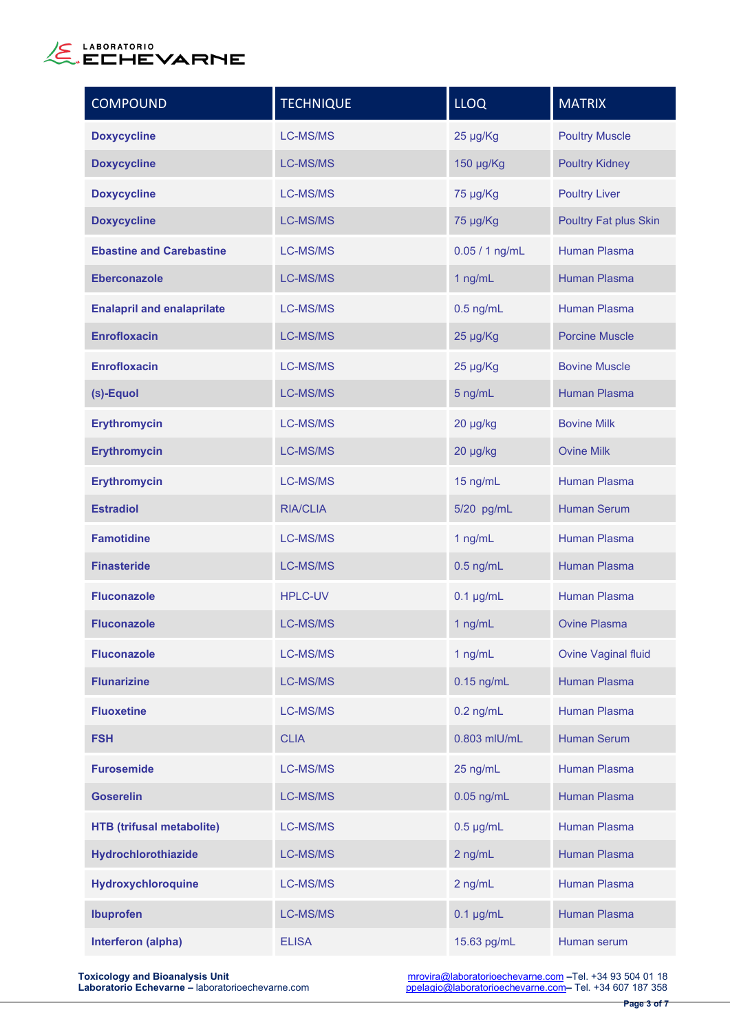

| <b>COMPOUND</b>                   | <b>TECHNIQUE</b> | <b>LLOQ</b>    | <b>MATRIX</b>                |
|-----------------------------------|------------------|----------------|------------------------------|
| <b>Doxycycline</b>                | <b>LC-MS/MS</b>  | 25 µg/Kg       | <b>Poultry Muscle</b>        |
| <b>Doxycycline</b>                | LC-MS/MS         | 150 µg/Kg      | <b>Poultry Kidney</b>        |
| <b>Doxycycline</b>                | <b>LC-MS/MS</b>  | 75 µg/Kg       | <b>Poultry Liver</b>         |
| <b>Doxycycline</b>                | <b>LC-MS/MS</b>  | 75 µg/Kg       | <b>Poultry Fat plus Skin</b> |
| <b>Ebastine and Carebastine</b>   | <b>LC-MS/MS</b>  | 0.05 / 1 ng/mL | <b>Human Plasma</b>          |
| <b>Eberconazole</b>               | <b>LC-MS/MS</b>  | 1 ng/mL        | Human Plasma                 |
| <b>Enalapril and enalaprilate</b> | <b>LC-MS/MS</b>  | $0.5$ ng/mL    | <b>Human Plasma</b>          |
| <b>Enrofloxacin</b>               | <b>LC-MS/MS</b>  | 25 µg/Kg       | <b>Porcine Muscle</b>        |
| <b>Enrofloxacin</b>               | <b>LC-MS/MS</b>  | 25 µg/Kg       | <b>Bovine Muscle</b>         |
| (s)-Equol                         | <b>LC-MS/MS</b>  | 5 ng/mL        | <b>Human Plasma</b>          |
| <b>Erythromycin</b>               | <b>LC-MS/MS</b>  | 20 µg/kg       | <b>Bovine Milk</b>           |
| <b>Erythromycin</b>               | <b>LC-MS/MS</b>  | 20 µg/kg       | <b>Ovine Milk</b>            |
| <b>Erythromycin</b>               | <b>LC-MS/MS</b>  | 15 ng/mL       | <b>Human Plasma</b>          |
| <b>Estradiol</b>                  | <b>RIA/CLIA</b>  | 5/20 pg/mL     | <b>Human Serum</b>           |
| <b>Famotidine</b>                 | <b>LC-MS/MS</b>  | 1 ng/mL        | <b>Human Plasma</b>          |
| <b>Finasteride</b>                | <b>LC-MS/MS</b>  | $0.5$ ng/mL    | <b>Human Plasma</b>          |
| <b>Fluconazole</b>                | <b>HPLC-UV</b>   | $0.1 \mu g/mL$ | <b>Human Plasma</b>          |
| <b>Fluconazole</b>                | <b>LC-MS/MS</b>  | 1 ng/mL        | <b>Ovine Plasma</b>          |
| <b>Fluconazole</b>                | <b>LC-MS/MS</b>  | 1 ng/mL        | <b>Ovine Vaginal fluid</b>   |
| <b>Flunarizine</b>                | <b>LC-MS/MS</b>  | $0.15$ ng/mL   | <b>Human Plasma</b>          |
| <b>Fluoxetine</b>                 | <b>LC-MS/MS</b>  | $0.2$ ng/mL    | <b>Human Plasma</b>          |
| <b>FSH</b>                        | <b>CLIA</b>      | 0.803 mlU/mL   | <b>Human Serum</b>           |
| <b>Furosemide</b>                 | <b>LC-MS/MS</b>  | 25 ng/mL       | <b>Human Plasma</b>          |
| <b>Goserelin</b>                  | <b>LC-MS/MS</b>  | $0.05$ ng/mL   | Human Plasma                 |
| <b>HTB</b> (trifusal metabolite)  | <b>LC-MS/MS</b>  | $0.5 \mu g/mL$ | Human Plasma                 |
| Hydrochlorothiazide               | LC-MS/MS         | 2 ng/mL        | Human Plasma                 |
| Hydroxychloroquine                | <b>LC-MS/MS</b>  | 2 ng/mL        | Human Plasma                 |
| <b>Ibuprofen</b>                  | <b>LC-MS/MS</b>  | $0.1 \mu g/mL$ | Human Plasma                 |
| Interferon (alpha)                | <b>ELISA</b>     | 15.63 pg/mL    | Human serum                  |

**Toxicology and Bioanalysis Unit** [mrovira@laboratorioechevarne.com](mailto:mrovira@laboratorioechevarne.com) **–**Tel. +34 93 504 01 18 **Laboratorio Echevarne –** laboratorioechevarne.com [ppelagio@laboratorioechevarne.com](mailto:ppelagio@laboratorioechevarne.com)**–** Tel. +34 607 187 358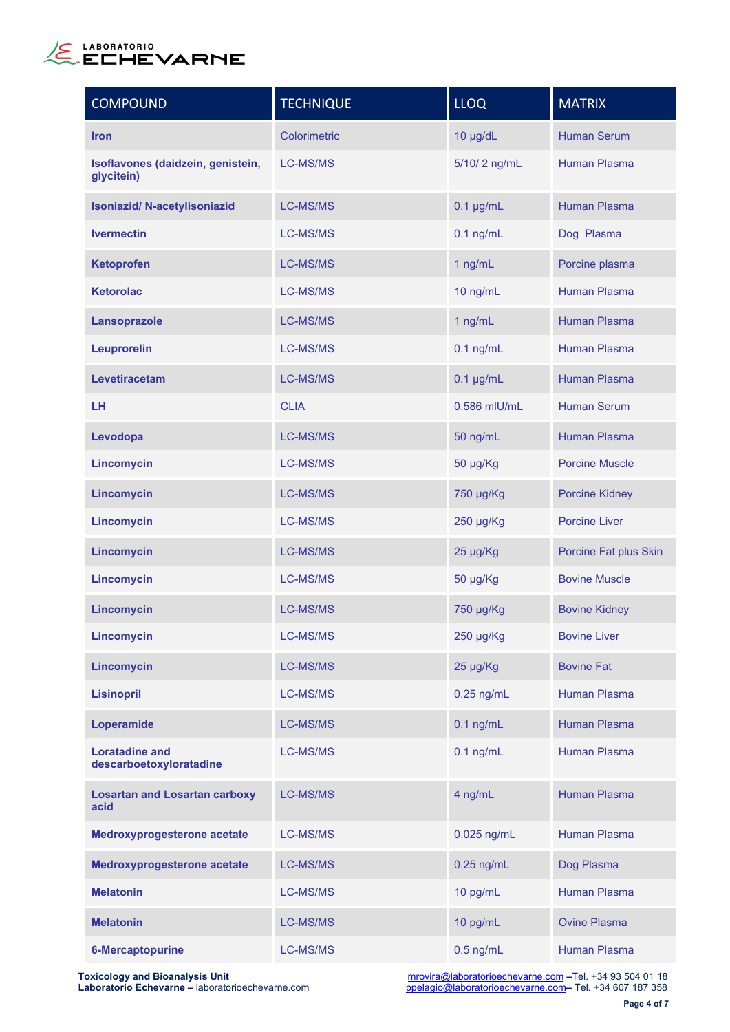

| <b>COMPOUND</b>                                  | <b>TECHNIQUE</b> | <b>LLOQ</b>    | <b>MATRIX</b>         |
|--------------------------------------------------|------------------|----------------|-----------------------|
| <b>Iron</b>                                      | Colorimetric     | 10 µg/dL       | <b>Human Serum</b>    |
| Isoflavones (daidzein, genistein,<br>glycitein)  | <b>LC-MS/MS</b>  | 5/10/2 ng/mL   | <b>Human Plasma</b>   |
| <b>Isoniazid/ N-acetylisoniazid</b>              | <b>LC-MS/MS</b>  | $0.1 \mu g/mL$ | <b>Human Plasma</b>   |
| <b>Ivermectin</b>                                | LC-MS/MS         | $0.1$ ng/mL    | Dog Plasma            |
| <b>Ketoprofen</b>                                | <b>LC-MS/MS</b>  | 1 ng/mL        | Porcine plasma        |
| <b>Ketorolac</b>                                 | <b>LC-MS/MS</b>  | 10 ng/mL       | <b>Human Plasma</b>   |
| Lansoprazole                                     | <b>LC-MS/MS</b>  | 1 ng/mL        | <b>Human Plasma</b>   |
| <b>Leuprorelin</b>                               | <b>LC-MS/MS</b>  | $0.1$ ng/mL    | Human Plasma          |
| Levetiracetam                                    | <b>LC-MS/MS</b>  | $0.1 \mu g/mL$ | <b>Human Plasma</b>   |
| LH                                               | <b>CLIA</b>      | 0.586 mlU/mL   | <b>Human Serum</b>    |
| Levodopa                                         | <b>LC-MS/MS</b>  | 50 ng/mL       | <b>Human Plasma</b>   |
| Lincomycin                                       | LC-MS/MS         | 50 µg/Kg       | <b>Porcine Muscle</b> |
| Lincomycin                                       | <b>LC-MS/MS</b>  | 750 µg/Kg      | <b>Porcine Kidney</b> |
| Lincomycin                                       | <b>LC-MS/MS</b>  | 250 µg/Kg      | <b>Porcine Liver</b>  |
| Lincomycin                                       | <b>LC-MS/MS</b>  | 25 µg/Kg       | Porcine Fat plus Skin |
| Lincomycin                                       | <b>LC-MS/MS</b>  | 50 µg/Kg       | <b>Bovine Muscle</b>  |
| Lincomycin                                       | <b>LC-MS/MS</b>  | 750 µg/Kg      | <b>Bovine Kidney</b>  |
| Lincomycin                                       | LC-MS/MS         | 250 µg/Kg      | <b>Bovine Liver</b>   |
| Lincomycin                                       | <b>LC-MS/MS</b>  | 25 µg/Kg       | <b>Bovine Fat</b>     |
| <b>Lisinopril</b>                                | <b>LC-MS/MS</b>  | $0.25$ ng/mL   | <b>Human Plasma</b>   |
| Loperamide                                       | <b>LC-MS/MS</b>  | $0.1$ ng/mL    | <b>Human Plasma</b>   |
| <b>Loratadine and</b><br>descarboetoxyloratadine | <b>LC-MS/MS</b>  | $0.1$ ng/mL    | <b>Human Plasma</b>   |
| <b>Losartan and Losartan carboxy</b><br>acid     | <b>LC-MS/MS</b>  | 4 ng/mL        | <b>Human Plasma</b>   |
| Medroxyprogesterone acetate                      | <b>LC-MS/MS</b>  | 0.025 ng/mL    | <b>Human Plasma</b>   |
| Medroxyprogesterone acetate                      | <b>LC-MS/MS</b>  | $0.25$ ng/mL   | Dog Plasma            |
| <b>Melatonin</b>                                 | LC-MS/MS         | 10 pg/mL       | <b>Human Plasma</b>   |
| <b>Melatonin</b>                                 | <b>LC-MS/MS</b>  | 10 pg/mL       | <b>Ovine Plasma</b>   |
| <b>6-Mercaptopurine</b>                          | LC-MS/MS         | $0.5$ ng/mL    | <b>Human Plasma</b>   |

**Toxicology and Bioanalysis Unit** [mrovira@laboratorioechevarne.com](mailto:mrovira@laboratorioechevarne.com) **–**Tel. +34 93 504 01 18 **Laboratorio Echevarne –** laboratorioechevarne.com [ppelagio@laboratorioechevarne.com](mailto:ppelagio@laboratorioechevarne.com)**–** Tel. +34 607 187 358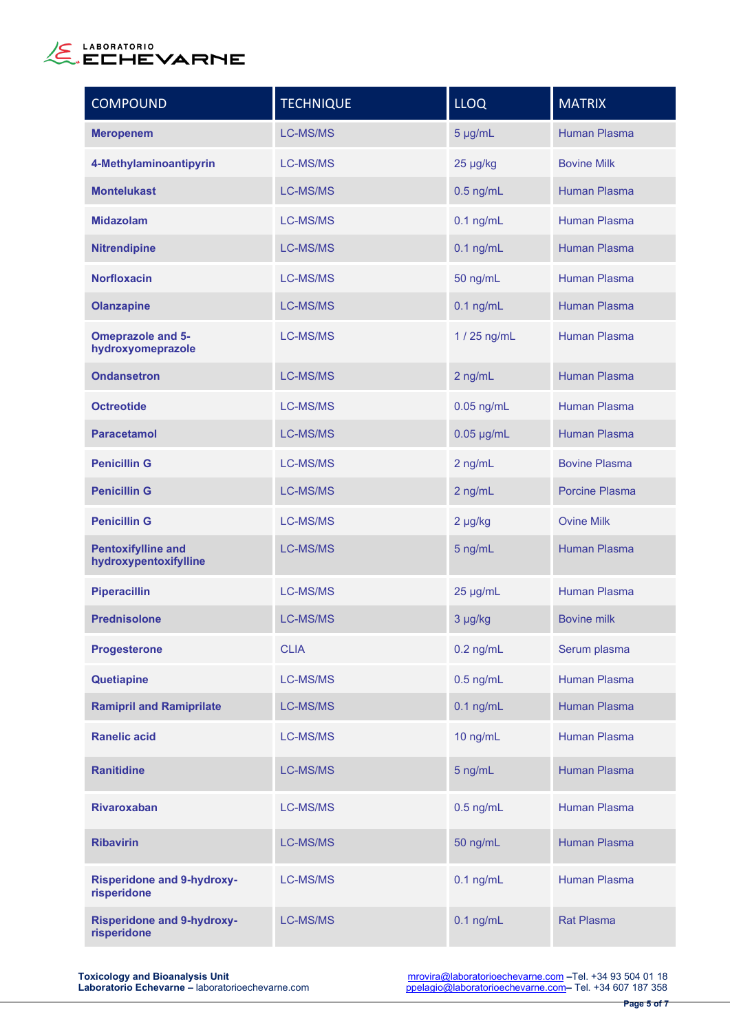

| <b>COMPOUND</b>                                    | <b>TECHNIQUE</b> | <b>LLOQ</b>  | <b>MATRIX</b>         |
|----------------------------------------------------|------------------|--------------|-----------------------|
| <b>Meropenem</b>                                   | <b>LC-MS/MS</b>  | 5 µg/mL      | <b>Human Plasma</b>   |
| 4-Methylaminoantipyrin                             | LC-MS/MS         | 25 µg/kg     | <b>Bovine Milk</b>    |
| <b>Montelukast</b>                                 | LC-MS/MS         | $0.5$ ng/mL  | <b>Human Plasma</b>   |
| <b>Midazolam</b>                                   | <b>LC-MS/MS</b>  | $0.1$ ng/mL  | Human Plasma          |
| <b>Nitrendipine</b>                                | LC-MS/MS         | $0.1$ ng/mL  | <b>Human Plasma</b>   |
| <b>Norfloxacin</b>                                 | <b>LC-MS/MS</b>  | 50 ng/mL     | Human Plasma          |
| <b>Olanzapine</b>                                  | <b>LC-MS/MS</b>  | $0.1$ ng/mL  | <b>Human Plasma</b>   |
| <b>Omeprazole and 5-</b><br>hydroxyomeprazole      | <b>LC-MS/MS</b>  | 1 / 25 ng/mL | <b>Human Plasma</b>   |
| <b>Ondansetron</b>                                 | <b>LC-MS/MS</b>  | 2 ng/mL      | <b>Human Plasma</b>   |
| <b>Octreotide</b>                                  | <b>LC-MS/MS</b>  | $0.05$ ng/mL | Human Plasma          |
| <b>Paracetamol</b>                                 | <b>LC-MS/MS</b>  | $0.05$ µg/mL | <b>Human Plasma</b>   |
| <b>Penicillin G</b>                                | <b>LC-MS/MS</b>  | 2 ng/mL      | <b>Bovine Plasma</b>  |
| <b>Penicillin G</b>                                | <b>LC-MS/MS</b>  | 2 ng/mL      | <b>Porcine Plasma</b> |
| <b>Penicillin G</b>                                | <b>LC-MS/MS</b>  | 2 µg/kg      | <b>Ovine Milk</b>     |
| <b>Pentoxifylline and</b><br>hydroxypentoxifylline | <b>LC-MS/MS</b>  | 5 ng/mL      | <b>Human Plasma</b>   |
| <b>Piperacillin</b>                                | <b>LC-MS/MS</b>  | 25 µg/mL     | <b>Human Plasma</b>   |
| <b>Prednisolone</b>                                | LC-MS/MS         | 3 µg/kg      | <b>Bovine milk</b>    |
| <b>Progesterone</b>                                | <b>CLIA</b>      | $0.2$ ng/mL  | Serum plasma          |
| <b>Quetiapine</b>                                  | LC-MS/MS         | $0.5$ ng/mL  | <b>Human Plasma</b>   |
| <b>Ramipril and Ramiprilate</b>                    | LC-MS/MS         | $0.1$ ng/mL  | <b>Human Plasma</b>   |
| <b>Ranelic acid</b>                                | LC-MS/MS         | 10 ng/mL     | Human Plasma          |
| <b>Ranitidine</b>                                  | LC-MS/MS         | 5 ng/mL      | <b>Human Plasma</b>   |
| <b>Rivaroxaban</b>                                 | LC-MS/MS         | $0.5$ ng/mL  | Human Plasma          |
| <b>Ribavirin</b>                                   | LC-MS/MS         | 50 ng/mL     | <b>Human Plasma</b>   |
| <b>Risperidone and 9-hydroxy-</b><br>risperidone   | LC-MS/MS         | $0.1$ ng/mL  | <b>Human Plasma</b>   |
| <b>Risperidone and 9-hydroxy-</b><br>risperidone   | <b>LC-MS/MS</b>  | $0.1$ ng/mL  | <b>Rat Plasma</b>     |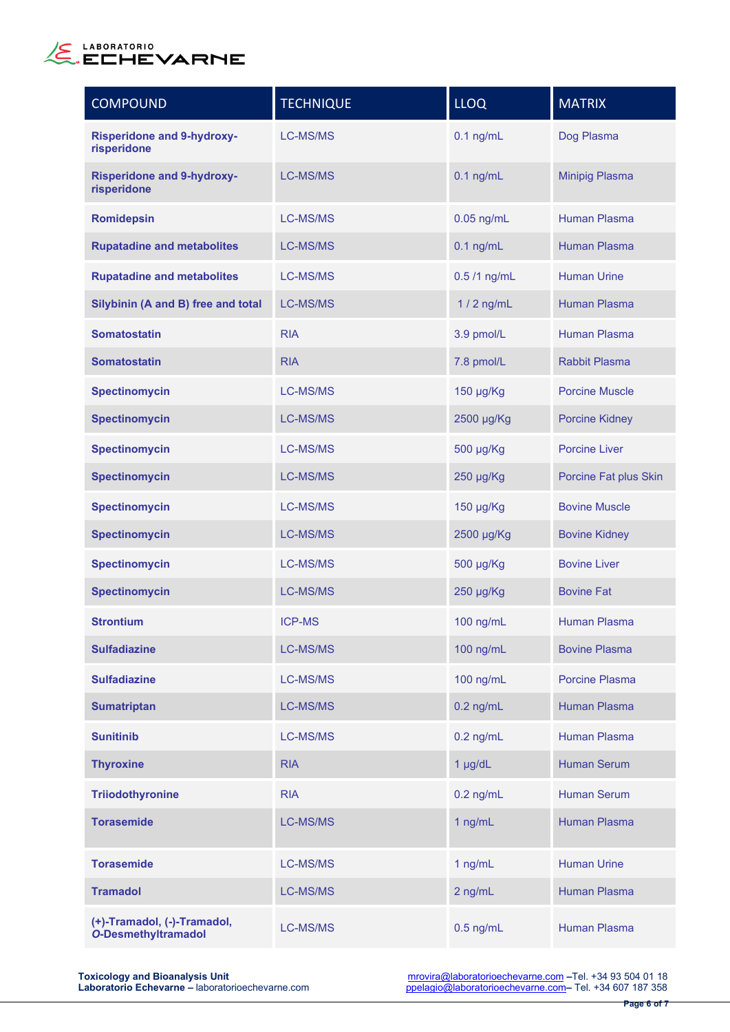

| <b>COMPOUND</b>                                           | <b>TECHNIQUE</b> | <b>LLOQ</b>  | <b>MATRIX</b>         |
|-----------------------------------------------------------|------------------|--------------|-----------------------|
| <b>Risperidone and 9-hydroxy-</b><br>risperidone          | <b>LC-MS/MS</b>  | $0.1$ ng/mL  | Dog Plasma            |
| <b>Risperidone and 9-hydroxy-</b><br>risperidone          | <b>LC-MS/MS</b>  | $0.1$ ng/mL  | <b>Minipig Plasma</b> |
| <b>Romidepsin</b>                                         | <b>LC-MS/MS</b>  | $0.05$ ng/mL | <b>Human Plasma</b>   |
| <b>Rupatadine and metabolites</b>                         | <b>LC-MS/MS</b>  | $0.1$ ng/mL  | <b>Human Plasma</b>   |
| <b>Rupatadine and metabolites</b>                         | <b>LC-MS/MS</b>  | 0.5 /1 ng/mL | <b>Human Urine</b>    |
| Silybinin (A and B) free and total                        | <b>LC-MS/MS</b>  | $1/2$ ng/mL  | <b>Human Plasma</b>   |
| <b>Somatostatin</b>                                       | <b>RIA</b>       | 3.9 pmol/L   | <b>Human Plasma</b>   |
| <b>Somatostatin</b>                                       | <b>RIA</b>       | 7.8 pmol/L   | <b>Rabbit Plasma</b>  |
| <b>Spectinomycin</b>                                      | <b>LC-MS/MS</b>  | 150 µg/Kg    | <b>Porcine Muscle</b> |
| <b>Spectinomycin</b>                                      | <b>LC-MS/MS</b>  | 2500 µg/Kg   | <b>Porcine Kidney</b> |
| <b>Spectinomycin</b>                                      | <b>LC-MS/MS</b>  | 500 µg/Kg    | <b>Porcine Liver</b>  |
| <b>Spectinomycin</b>                                      | <b>LC-MS/MS</b>  | 250 µg/Kg    | Porcine Fat plus Skin |
| <b>Spectinomycin</b>                                      | <b>LC-MS/MS</b>  | 150 µg/Kg    | <b>Bovine Muscle</b>  |
| <b>Spectinomycin</b>                                      | <b>LC-MS/MS</b>  | 2500 µg/Kg   | <b>Bovine Kidney</b>  |
| <b>Spectinomycin</b>                                      | <b>LC-MS/MS</b>  | 500 µg/Kg    | <b>Bovine Liver</b>   |
| <b>Spectinomycin</b>                                      | <b>LC-MS/MS</b>  | 250 µg/Kg    | <b>Bovine Fat</b>     |
| <b>Strontium</b>                                          | <b>ICP-MS</b>    | 100 ng/mL    | <b>Human Plasma</b>   |
| <b>Sulfadiazine</b>                                       | <b>LC-MS/MS</b>  | 100 ng/mL    | <b>Bovine Plasma</b>  |
| <b>Sulfadiazine</b>                                       | <b>LC-MS/MS</b>  | 100 ng/mL    | <b>Porcine Plasma</b> |
| <b>Sumatriptan</b>                                        | <b>LC-MS/MS</b>  | $0.2$ ng/mL  | Human Plasma          |
| <b>Sunitinib</b>                                          | <b>LC-MS/MS</b>  | $0.2$ ng/mL  | Human Plasma          |
| <b>Thyroxine</b>                                          | <b>RIA</b>       | $1$ µg/dL    | <b>Human Serum</b>    |
| <b>Triiodothyronine</b>                                   | <b>RIA</b>       | $0.2$ ng/mL  | <b>Human Serum</b>    |
| <b>Torasemide</b>                                         | <b>LC-MS/MS</b>  | 1 ng/mL      | Human Plasma          |
| <b>Torasemide</b>                                         | <b>LC-MS/MS</b>  | 1 ng/mL      | <b>Human Urine</b>    |
| <b>Tramadol</b>                                           | <b>LC-MS/MS</b>  | 2 ng/mL      | Human Plasma          |
| (+)-Tramadol, (-)-Tramadol,<br><b>O-Desmethyltramadol</b> | LC-MS/MS         | $0.5$ ng/mL  | Human Plasma          |